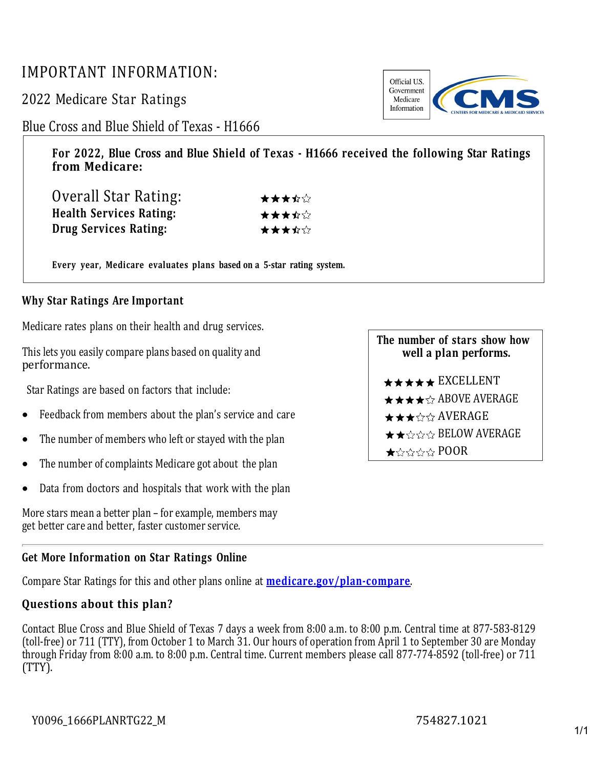## IMPORTANT INFORMATION:

2022 Medicare Star Ratings

Blue Cross and Blue Shield of Texas - H1666

**For 2022, Blue Cross and Blue Shield of Texas - H1666 received the following Star Ratings from Medicare:**

| Overall Star Rating:           | ★★★☆☆ |
|--------------------------------|-------|
| <b>Health Services Rating:</b> | ★★★☆☆ |
| Drug Services Rating:          | ★★★☆☆ |

**Every year, Medicare evaluates plans based on a 5-star rating system.**

## **Why Star Ratings Are Important**

Medicare rates plans on their health and drug services.

This lets you easily compare plans based on quality and performance.

Star Ratings are based on factors that include:

- Feedback from members about the plan's service and care
- The number of members who left or stayed with the plan
- The number of complaints Medicare got about the plan
- Data from doctors and hospitals that work with the plan

More stars mean a better plan – for example, members may get better care and better, faster customer service.

## **Get More Information on Star Ratings Online**

Compare Star Ratings for this and other plans online at **[medicare.gov/plan-compare](http://www.medicare.gov/plan-compare/)**.

## **Questions about this plan?**

Contact Blue Cross and Blue Shield of Texas 7 days a week from 8:00 a.m. to 8:00 p.m. Central time at 877-583-8129 (toll-free) or 711 (TTY), from October 1 to March 31. Our hours of operation from April 1 to September 30 are Monday through Friday from 8:00 a.m. to 8:00 p.m. Central time. Current members please call 877-774-8592 (toll-free) or 711 (TTY).